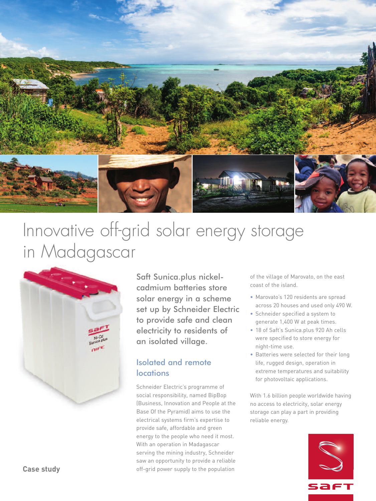

# Innovative off-grid solar energy storage in Madagascar



Saft Sunica.plus nickelcadmium batteries store solar energy in a scheme set up by Schneider Electric to provide safe and clean electricity to residents of an isolated village.

# Isolated and remote **locations**

Schneider Electric's programme of social responsibility, named BipBop (Business, Innovation and People at the Base Of the Pyramid) aims to use the electrical systems firm's expertise to provide safe, affordable and green energy to the people who need it most. With an operation in Madagascar serving the mining industry, Schneider saw an opportunity to provide a reliable off-grid power supply to the population

of the village of Marovato, on the east coast of the island.

- Marovato's 120 residents are spread across 20 houses and used only 490 W.
- Schneider specified a system to generate 1,400 W at peak times.
- 18 of Saft's Sunica.plus 920 Ah cells were specified to store energy for night-time use.
- Batteries were selected for their long life, rugged design, operation in extreme temperatures and suitability for photovoltaic applications.

With 1.6 billion people worldwide having no access to electricity, solar energy storage can play a part in providing reliable energy.